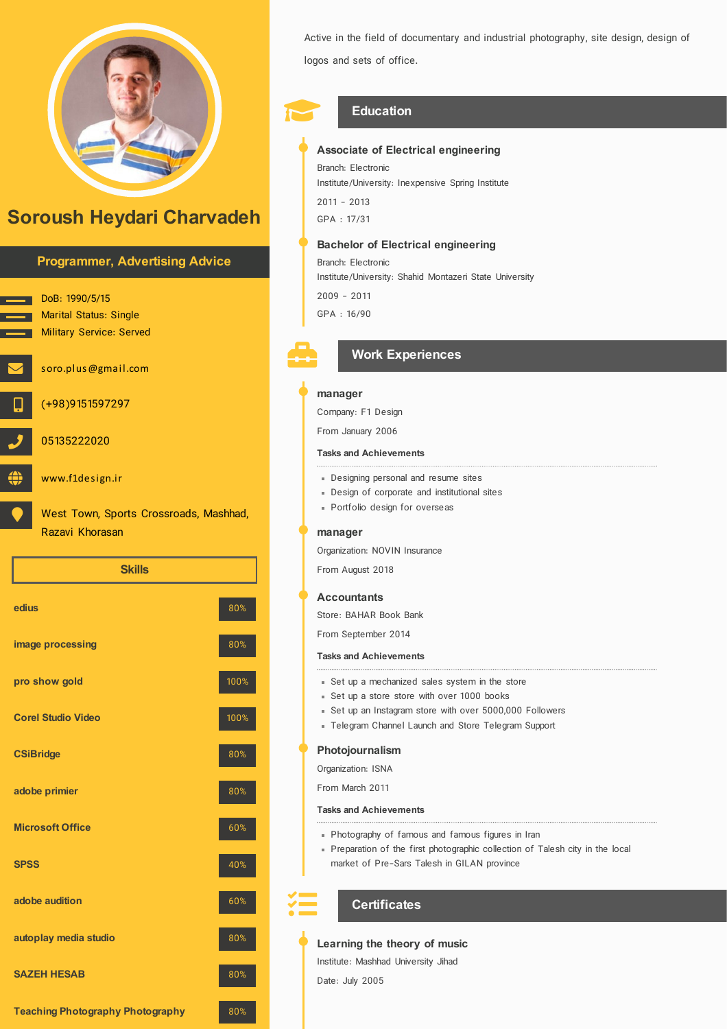

# Soroush Heydari Charvadeh



| edius                                   | 80%  |
|-----------------------------------------|------|
| image processing                        | 80%  |
| pro show gold                           | 100% |
| <b>Corel Studio Video</b>               | 100% |
| <b>CSiBridge</b>                        | 80%  |
| adobe primier                           | 80%  |
| <b>Microsoft Office</b>                 | 60%  |
| <b>SPSS</b>                             | 40%  |
| adobe audition                          | 60%  |
| autoplay media studio                   | 80%  |
| <b>SAZEH HESAB</b>                      | 80%  |
| <b>Teaching Photography Photography</b> | 80%  |

Active in the field of documentary and industrial photography, site design, design of logos and sets of office.

## Education

Associate of Electrical engineering

Branch: Electronic Institute/University: Inexpensive Spring Institute

2011 - 2013 GPA : 17/31

#### Bachelor of Electrical engineering

Branch: Electronic Institute/University: Shahid Montazeri State University 2009 - 2011 GPA : 16/90



## Work Experiences

#### manager

Company: F1 Design

From January 2006

#### Tasks and Achievements

- Designing personal and resume sites
- Design of corporate and institutional sites
- Portfolio design for overseas

#### manager

Organization: NOVIN Insurance

From August 2018

#### **Accountants**

Store: BAHAR Book Bank

From September 2014

#### Tasks and Achievements

- Set up a mechanized sales system in the store
- Set up a store store with over 1000 books
- Set up an Instagram store with over 5000,000 Followers
- Telegram Channel Launch and Store Telegram Support

#### Photojournalism

Organization: ISNA From March 2011

Tasks and Achievements

- Photography of famous and famous figures in Iran
- Preparation of the first photographic collection of Talesh city in the local market of Pre-Sars Talesh in GILAN province

## **Certificates**

## Learning the theory of music

Institute: Mashhad University Jihad

Date: July 2005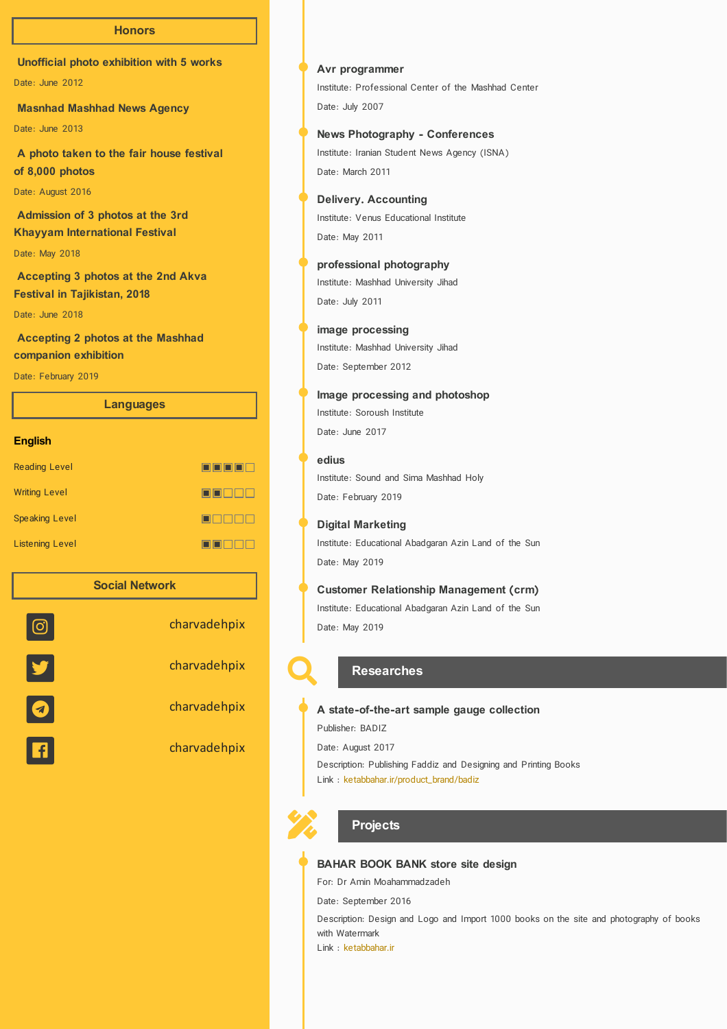#### **Honors**

Unofficial photo exhibition with 5 works

Date: June 2012

Masnhad Mashhad News Agency

Date: June 2013

A photo taken to the fair house festival of 8,000 photos

Date: August 2016

Admission of 3 photos at the 3rd Khayyam International Festival

Date: May 2018

Accepting 3 photos at the 2nd Akva Festival in Tajikistan, 2018

Date: June 2018

Accepting 2 photos at the Mashhad companion exhibition

Date: February 2019

|                        | <b>Languages</b> |      |
|------------------------|------------------|------|
| <b>English</b>         |                  |      |
| <b>Reading Level</b>   |                  | oooo |
| <b>Writing Level</b>   |                  | oool |
| <b>Speaking Level</b>  |                  | ool  |
| <b>Listening Level</b> |                  | OOO  |
|                        |                  |      |



Institute: Professional Center of the Mashhad Center Date: July 2007 Avr programmer

Institute: Iranian Student News Agency (ISNA) Date: March 2011 News Photography - Conferences

Institute: Venus Educational Institute Date: May 2011 Delivery. Accounting

Institute: Mashhad University Jihad Date: July 2011 professional photography

Institute: Mashhad University Jihad Date: September 2012 image processing

Institute: Soroush Institute Date: June 2017 Image processing and photoshop

#### edius

⊒

⊐

Institute: Sound and Sima Mashhad Holy Date: February 2019

#### Digital Marketing

Institute: Educational Abadgaran Azin Land of the Sun Date: May 2019

### Customer Relationship Management (crm)

Institute: Educational Abadgaran Azin Land of the Sun Date: May 2019



#### **Researches**

Publisher: BADIZ Date: August 2017 A state-of-the-art sample gauge collection

Description: Publishing Faddiz and Designing and Printing Books

Link : [ketabbahar.ir/product\\_brand/badiz](http://ketabbahar.ir/product_brand/badiz)



## **Projects**

#### BAHAR BOOK BANK store site design

For: Dr Amin Moahammadzadeh

Date: September 2016

Description: Design and Logo and Import 1000 books on the site and photography of books with Watermark

Link : [ketabbahar.ir](http://ketabbahar.ir/)